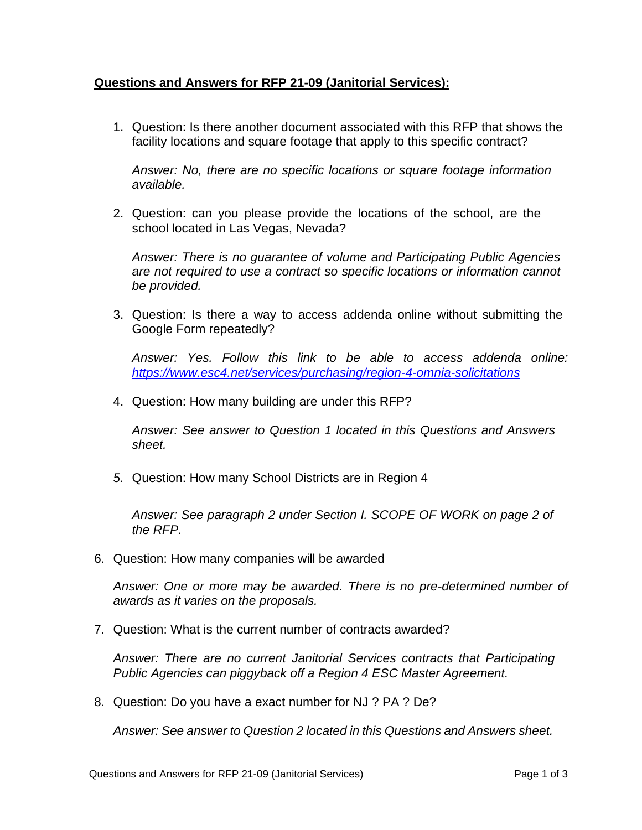## **Questions and Answers for RFP 21-09 (Janitorial Services):**

1. Question: Is there another document associated with this RFP that shows the facility locations and square footage that apply to this specific contract?

*Answer: No, there are no specific locations or square footage information available.*

2. Question: can you please provide the locations of the school, are the school located in Las Vegas, Nevada?

*Answer: There is no guarantee of volume and Participating Public Agencies are not required to use a contract so specific locations or information cannot be provided.* 

3. Question: Is there a way to access addenda online without submitting the Google Form repeatedly?

*Answer: Yes. Follow this link to be able to access addenda online: <https://www.esc4.net/services/purchasing/region-4-omnia-solicitations>*

4. Question: How many building are under this RFP?

*Answer: See answer to Question 1 located in this Questions and Answers sheet.*

*5.* Question: How many School Districts are in Region 4

*Answer: See paragraph 2 under Section I. SCOPE OF WORK on page 2 of the RFP.* 

6. Question: How many companies will be awarded

*Answer: One or more may be awarded. There is no pre-determined number of awards as it varies on the proposals.* 

7. Question: What is the current number of contracts awarded?

*Answer: There are no current Janitorial Services contracts that Participating Public Agencies can piggyback off a Region 4 ESC Master Agreement.* 

8. Question: Do you have a exact number for NJ ? PA ? De?

*Answer: See answer to Question 2 located in this Questions and Answers sheet.*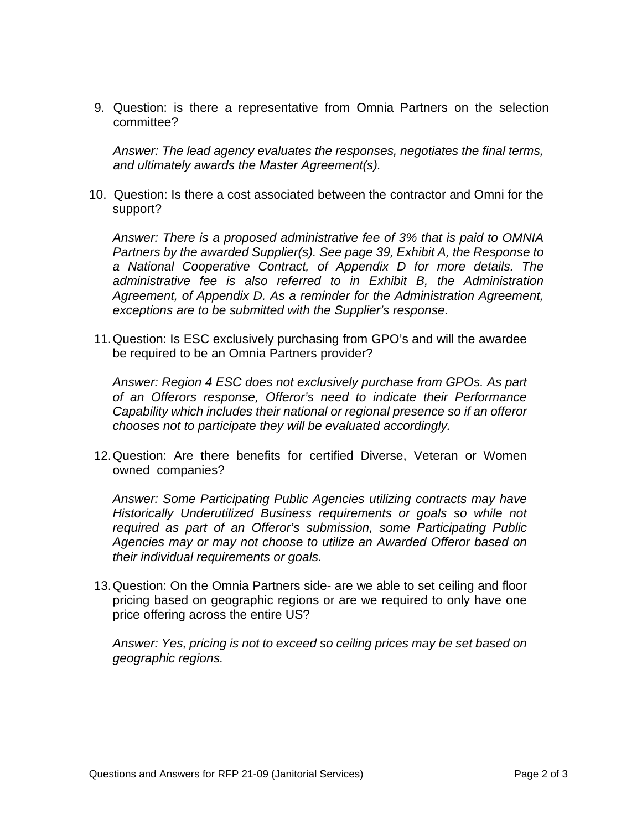9. Question: is there a representative from Omnia Partners on the selection committee?

*Answer: The lead agency evaluates the responses, negotiates the final terms, and ultimately awards the Master Agreement(s).*

10. Question: Is there a cost associated between the contractor and Omni for the support?

*Answer: There is a proposed administrative fee of 3% that is paid to OMNIA Partners by the awarded Supplier(s). See page 39, Exhibit A, the Response to a National Cooperative Contract, of Appendix D for more details. The administrative fee is also referred to in Exhibit B, the Administration Agreement, of Appendix D. As a reminder for the Administration Agreement, exceptions are to be submitted with the Supplier's response.* 

11.Question: Is ESC exclusively purchasing from GPO's and will the awardee be required to be an Omnia Partners provider?

*Answer: Region 4 ESC does not exclusively purchase from GPOs. As part of an Offerors response, Offeror's need to indicate their Performance Capability which includes their national or regional presence so if an offeror chooses not to participate they will be evaluated accordingly.* 

12.Question: Are there benefits for certified Diverse, Veteran or Women owned companies?

*Answer: Some Participating Public Agencies utilizing contracts may have Historically Underutilized Business requirements or goals so while not required as part of an Offeror's submission, some Participating Public Agencies may or may not choose to utilize an Awarded Offeror based on their individual requirements or goals.* 

13.Question: On the Omnia Partners side- are we able to set ceiling and floor pricing based on geographic regions or are we required to only have one price offering across the entire US?

*Answer: Yes, pricing is not to exceed so ceiling prices may be set based on geographic regions.*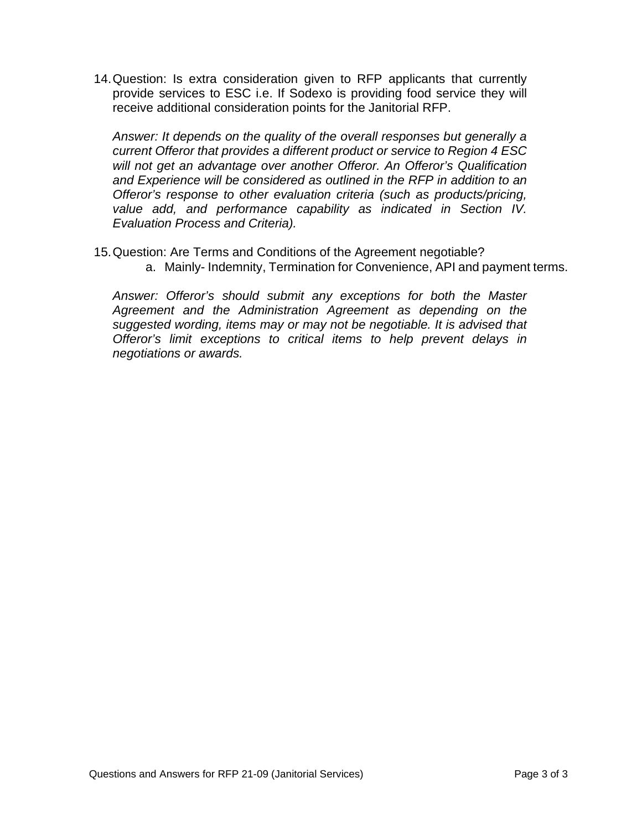14.Question: Is extra consideration given to RFP applicants that currently provide services to ESC i.e. If Sodexo is providing food service they will receive additional consideration points for the Janitorial RFP.

*Answer: It depends on the quality of the overall responses but generally a current Offeror that provides a different product or service to Region 4 ESC will not get an advantage over another Offeror. An Offeror's Qualification and Experience will be considered as outlined in the RFP in addition to an Offeror's response to other evaluation criteria (such as products/pricing, value add, and performance capability as indicated in Section IV. Evaluation Process and Criteria).* 

15.Question: Are Terms and Conditions of the Agreement negotiable? a. Mainly- Indemnity, Termination for Convenience, API and payment terms.

*Answer: Offeror's should submit any exceptions for both the Master Agreement and the Administration Agreement as depending on the suggested wording, items may or may not be negotiable. It is advised that Offeror's limit exceptions to critical items to help prevent delays in negotiations or awards.*